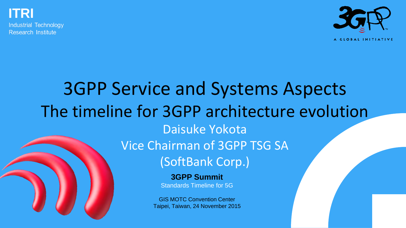**ITRI**

Industrial Technology **Research Institute** 



**3GPP Summit** 3GPP Service and Systems Aspects The timeline for 3GPP architecture evolution Daisuke Yokota Vice Chairman of 3GPP TSG SA (SoftBank Corp.)

Standards Timeline for 5G

GIS MOTC Convention Center Taipei, Taiwan, 24 November 2015

3GPP Summit – 24 November 2015, Taipei **1**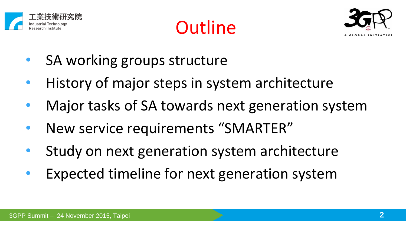

**Outline** 



- SA working groups structure
- History of major steps in system architecture
- Major tasks of SA towards next generation system
- New service requirements "SMARTER"
- Study on next generation system architecture
- Expected timeline for next generation system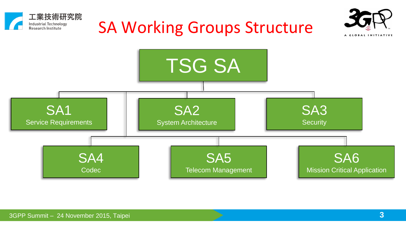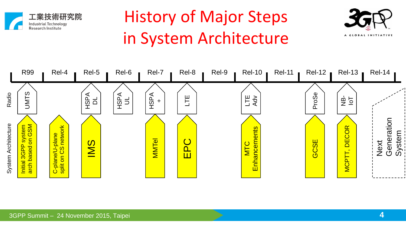

### History of Major Steps in System Architecture



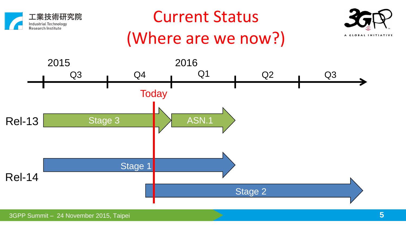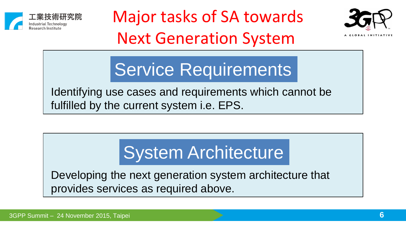





Service Requirements

Identifying use cases and requirements which cannot be fulfilled by the current system i.e. EPS.

## System Architecture

Developing the next generation system architecture that provides services as required above.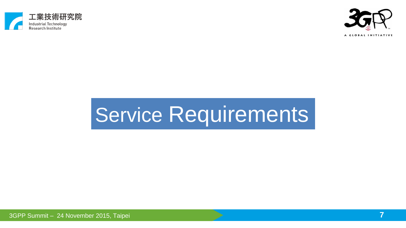



# Service Requirements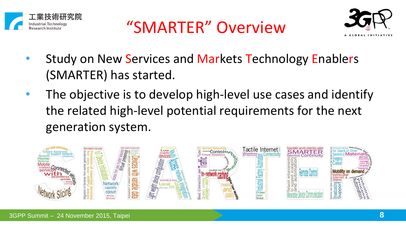





- Study on New Services and Markets Technology Enablers (SMARTER) has started.
- The objective is to develop high-level use cases and identify the related high-level potential requirements for the next generation system.

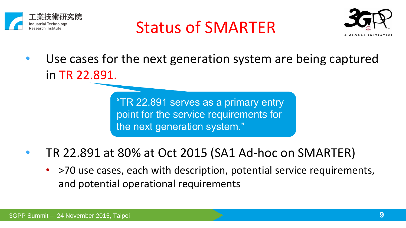

#### Status of SMARTER



Use cases for the next generation system are being captured in TR 22.891.

> "TR 22.891 serves as a primary entry point for the service requirements for the next generation system."

- TR 22.891 at 80% at Oct 2015 (SA1 Ad-hoc on SMARTER)
	- >70 use cases, each with description, potential service requirements, and potential operational requirements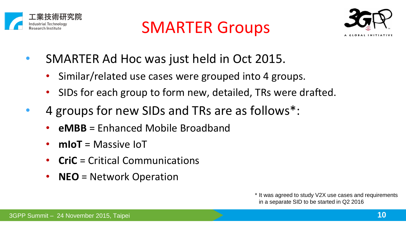





- SMARTER Ad Hoc was just held in Oct 2015.
	- Similar/related use cases were grouped into 4 groups.
	- SIDs for each group to form new, detailed, TRs were drafted.
- 4 groups for new SIDs and TRs are as follows\*:
	- **eMBB** = Enhanced Mobile Broadband
	- **mIoT** = Massive IoT
	- **CriC** = Critical Communications
	- **NEO** = Network Operation

\* It was agreed to study V2X use cases and requirements in a separate SID to be started in Q2 2016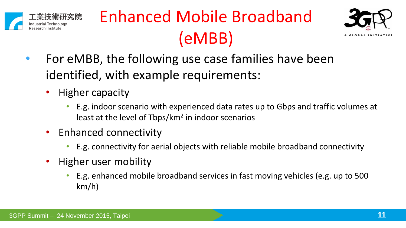

## Enhanced Mobile Broadband (eMBB)



- For eMBB, the following use case families have been identified, with example requirements:
	- Higher capacity
		- E.g. indoor scenario with experienced data rates up to Gbps and traffic volumes at least at the level of Tbps/km<sup>2</sup> in indoor scenarios
	- Enhanced connectivity
		- E.g. connectivity for aerial objects with reliable mobile broadband connectivity
	- Higher user mobility
		- E.g. enhanced mobile broadband services in fast moving vehicles (e.g. up to 500 km/h)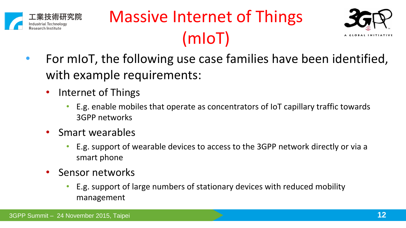





- For mIoT, the following use case families have been identified, with example requirements:
	- Internet of Things
		- E.g. enable mobiles that operate as concentrators of IoT capillary traffic towards 3GPP networks
	- Smart wearables
		- E.g. support of wearable devices to access to the 3GPP network directly or via a smart phone
	- Sensor networks
		- E.g. support of large numbers of stationary devices with reduced mobility management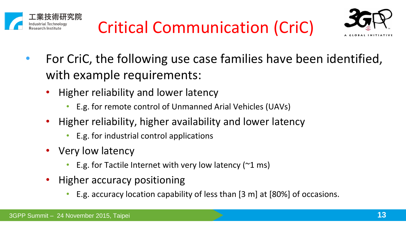





- For CriC, the following use case families have been identified, with example requirements:
	- Higher reliability and lower latency
		- E.g. for remote control of Unmanned Arial Vehicles (UAVs)
	- Higher reliability, higher availability and lower latency
		- E.g. for industrial control applications
	- Very low latency
		- E.g. for Tactile Internet with very low latency ( $\approx$ 1 ms)
	- Higher accuracy positioning
		- E.g. accuracy location capability of less than [3 m] at [80%] of occasions.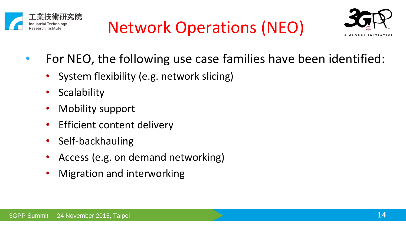





- For NEO, the following use case families have been identified:
	- System flexibility (e.g. network slicing)
	- **Scalability**
	- Mobility support
	- Efficient content delivery
	- Self-backhauling
	- Access (e.g. on demand networking)
	- Migration and interworking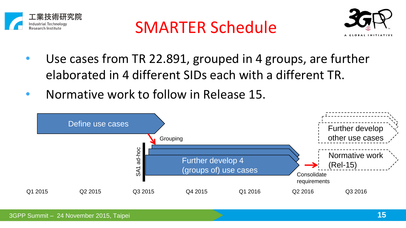





- Use cases from TR 22.891, grouped in 4 groups, are further elaborated in 4 different SIDs each with a different TR.
- Normative work to follow in Release 15.

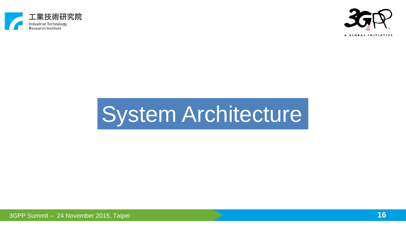



# System Architecture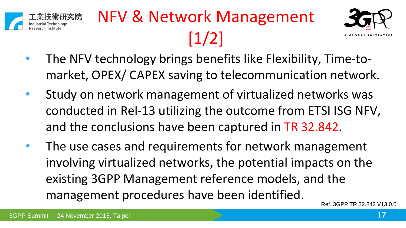

# NFV & Network Management [1/2]



- The NFV technology brings benefits like Flexibility, Time-tomarket, OPEX/ CAPEX saving to telecommunication network.
- Study on network management of virtualized networks was conducted in Rel-13 utilizing the outcome from ETSI ISG NFV, and the conclusions have been captured in TR 32.842.
- The use cases and requirements for network management involving virtualized networks, the potential impacts on the existing 3GPP Management reference models, and the management procedures have been identified.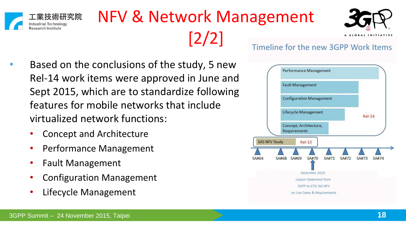

#### NFV & Network Management [2/2]



**GLOBAL INITIATIV** 

- Based on the conclusions of the study, 5 new Rel-14 work items were approved in June and Sept 2015, which are to standardize following features for mobile networks that include virtualized network functions:
	- Concept and Architecture
	- Performance Management
	- Fault Management
	- Configuration Management
	- Lifecycle Management

#### Timeline for the new 3GPP Work Items

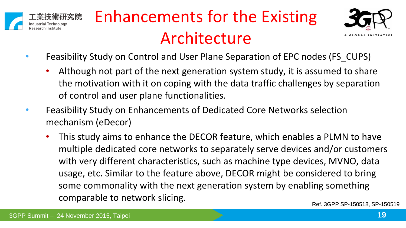

## Enhancements for the Existing Architecture



- Feasibility Study on Control and User Plane Separation of EPC nodes (FS\_CUPS)
	- Although not part of the next generation system study, it is assumed to share the motivation with it on coping with the data traffic challenges by separation of control and user plane functionalities.
- Feasibility Study on Enhancements of Dedicated Core Networks selection mechanism (eDecor)
	- This study aims to enhance the DECOR feature, which enables a PLMN to have multiple dedicated core networks to separately serve devices and/or customers with very different characteristics, such as machine type devices, MVNO, data usage, etc. Similar to the feature above, DECOR might be considered to bring some commonality with the next generation system by enabling something comparable to network slicing.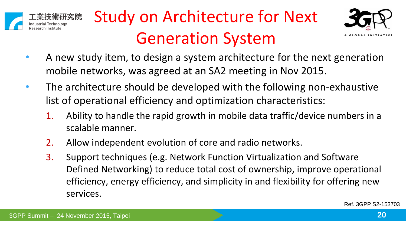





- A new study item, to design a system architecture for the next generation mobile networks, was agreed at an SA2 meeting in Nov 2015.
- The architecture should be developed with the following non-exhaustive list of operational efficiency and optimization characteristics:
	- 1. Ability to handle the rapid growth in mobile data traffic/device numbers in a scalable manner.
	- 2. Allow independent evolution of core and radio networks.
	- 3. Support techniques (e.g. Network Function Virtualization and Software Defined Networking) to reduce total cost of ownership, improve operational efficiency, energy efficiency, and simplicity in and flexibility for offering new services.

Ref. 3GPP S2-153703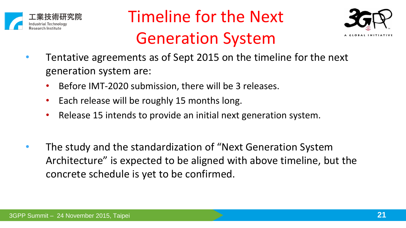

### Timeline for the Next Generation System



- Tentative agreements as of Sept 2015 on the timeline for the next generation system are:
	- Before IMT-2020 submission, there will be 3 releases.
	- Each release will be roughly 15 months long.
	- Release 15 intends to provide an initial next generation system.
- The study and the standardization of "Next Generation System Architecture" is expected to be aligned with above timeline, but the concrete schedule is yet to be confirmed.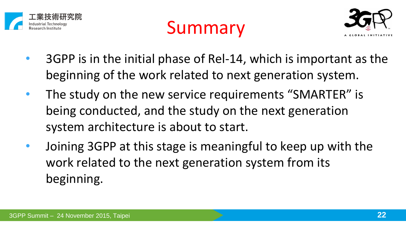





- 3GPP is in the initial phase of Rel-14, which is important as the beginning of the work related to next generation system.
- The study on the new service requirements "SMARTER" is being conducted, and the study on the next generation system architecture is about to start.
- Joining 3GPP at this stage is meaningful to keep up with the work related to the next generation system from its beginning.